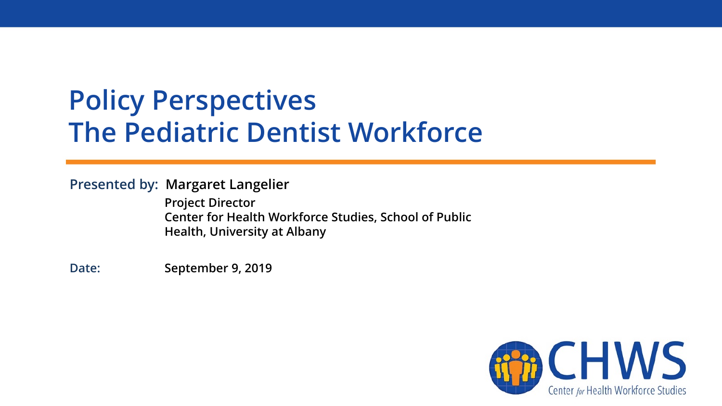# **Policy Perspectives The Pediatric Dentist Workforce**

#### **Presented by: Margaret Langelier**

**Project Director Center for Health Workforce Studies, School of Public Health, University at Albany**

**Date: September 9, 2019**

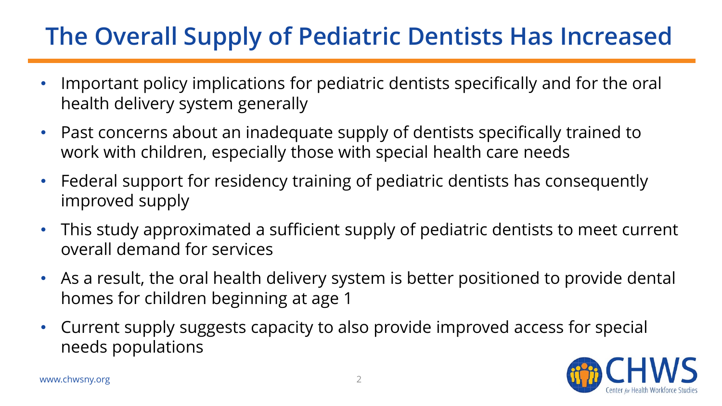### **The Overall Supply of Pediatric Dentists Has Increased**

- Important policy implications for pediatric dentists specifically and for the oral health delivery system generally
- Past concerns about an inadequate supply of dentists specifically trained to work with children, especially those with special health care needs
- Federal support for residency training of pediatric dentists has consequently improved supply
- This study approximated a sufficient supply of pediatric dentists to meet current overall demand for services
- As a result, the oral health delivery system is better positioned to provide dental homes for children beginning at age 1
- Current supply suggests capacity to also provide improved access for special needs populations

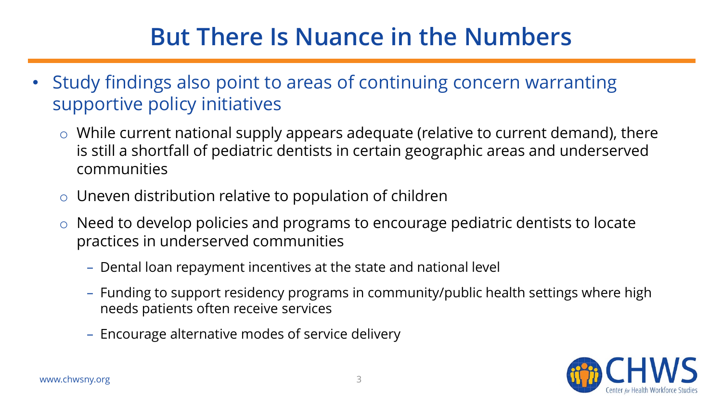### **But There Is Nuance in the Numbers**

- Study findings also point to areas of continuing concern warranting supportive policy initiatives
	- $\circ$  While current national supply appears adequate (relative to current demand), there is still a shortfall of pediatric dentists in certain geographic areas and underserved communities
	- $\circ$  Uneven distribution relative to population of children
	- o Need to develop policies and programs to encourage pediatric dentists to locate practices in underserved communities
		- Dental loan repayment incentives at the state and national level
		- Funding to support residency programs in community/public health settings where high needs patients often receive services
		- Encourage alternative modes of service delivery

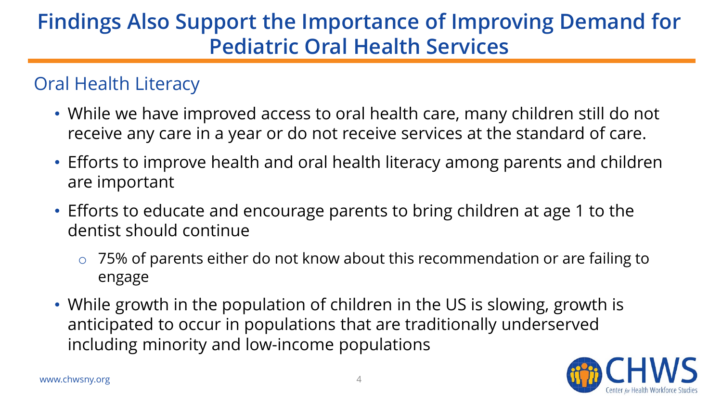### **Findings Also Support the Importance of Improving Demand for Pediatric Oral Health Services**

### Oral Health Literacy

- While we have improved access to oral health care, many children still do not receive any care in a year or do not receive services at the standard of care.
- Efforts to improve health and oral health literacy among parents and children are important
- Efforts to educate and encourage parents to bring children at age 1 to the dentist should continue
	- o 75% of parents either do not know about this recommendation or are failing to engage
- While growth in the population of children in the US is slowing, growth is anticipated to occur in populations that are traditionally underserved including minority and low-income populations

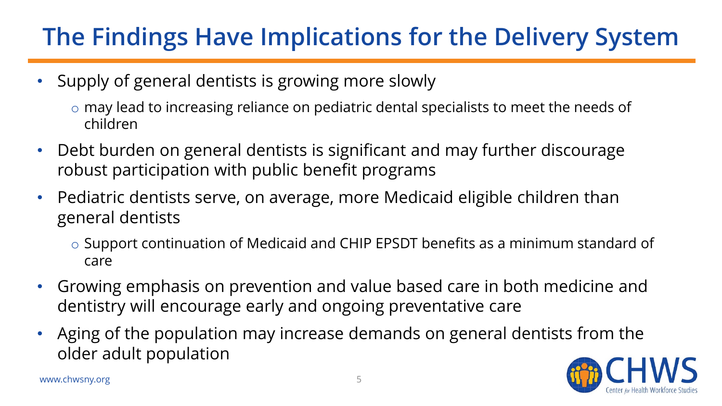## **The Findings Have Implications for the Delivery System**

- Supply of general dentists is growing more slowly
	- o may lead to increasing reliance on pediatric dental specialists to meet the needs of children
- Debt burden on general dentists is significant and may further discourage robust participation with public benefit programs
- Pediatric dentists serve, on average, more Medicaid eligible children than general dentists
	- o Support continuation of Medicaid and CHIP EPSDT benefits as a minimum standard of care
- Growing emphasis on prevention and value based care in both medicine and dentistry will encourage early and ongoing preventative care
- Aging of the population may increase demands on general dentists from the older adult population